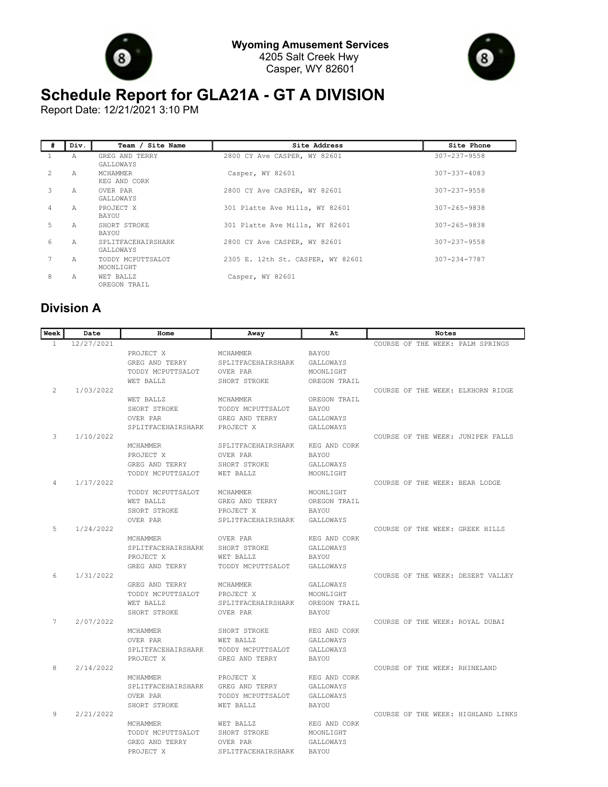



## **Schedule Report for GLA21A - GT A DIVISION**

Report Date: 12/21/2021 3:10 PM

| #             | Div.          | Team / Site Name                | Site Address                      | Site Phone         |
|---------------|---------------|---------------------------------|-----------------------------------|--------------------|
|               | A             | GREG AND TERRY<br>GALLOWAYS     | 2800 CY Ave CASPER, WY 82601      | 307-237-9558       |
| $\mathcal{L}$ | $\mathsf{A}$  | MCHAMMER<br>KEG AND CORK        | Casper, WY 82601                  | $307 - 337 - 4083$ |
| 3             | A             | OVER PAR<br>GALLOWAYS           | 2800 CY Ave CASPER, WY 82601      | 307-237-9558       |
| 4             | $\mathcal{A}$ | PROJECT X<br>BAYOU              | 301 Platte Ave Mills, WY 82601    | $307 - 265 - 9838$ |
| 5             | Α             | SHORT STROKE<br>BAYOU           | 301 Platte Ave Mills, WY 82601    | 307-265-9838       |
| 6             | $\lambda$     | SPLITFACEHAIRSHARK<br>GALLOWAYS | 2800 CY Ave CASPER, WY 82601      | 307-237-9558       |
| 7             | $\lambda$     | TODDY MCPUTTSALOT<br>MOONLIGHT  | 2305 E. 12th St. CASPER, WY 82601 | $307 - 234 - 7787$ |
| 8             | Α             | WET BALLZ<br>OREGON TRAIL       | Casper, WY 82601                  |                    |

## **Division A**

| Week         | Date       | Home                     | Away                            | At           | Notes                              |
|--------------|------------|--------------------------|---------------------------------|--------------|------------------------------------|
| $\mathbf{1}$ | 12/27/2021 |                          |                                 |              | COURSE OF THE WEEK: PALM SPRINGS   |
|              |            | PROJECT X                | MCHAMMER                        | <b>BAYOU</b> |                                    |
|              |            | GREG AND TERRY           | SPLITFACEHAIRSHARK              | GALLOWAYS    |                                    |
|              |            | TODDY MCPUTTSALOT        | OVER PAR                        | MOONLIGHT    |                                    |
|              |            | WET BALLZ                | SHORT STROKE                    | OREGON TRAIL |                                    |
| 2            | 1/03/2022  |                          |                                 |              | COURSE OF THE WEEK: ELKHORN RIDGE  |
|              |            | WET BALLZ                | MCHAMMER                        | OREGON TRAIL |                                    |
|              |            | SHORT STROKE             | TODDY MCPUTTSALOT               | BAYOU        |                                    |
|              |            | OVER PAR                 | GREG AND TERRY                  | GALLOWAYS    |                                    |
|              |            | SPLITFACEHAIRSHARK       | PROJECT X                       | GALLOWAYS    |                                    |
| 3            | 1/10/2022  |                          |                                 |              | COURSE OF THE WEEK: JUNIPER FALLS  |
|              |            | <b>MCHAMMER</b>          | SPLITFACEHAIRSHARK              | KEG AND CORK |                                    |
|              |            | PROJECT X                | OVER PAR                        | BAYOU        |                                    |
|              |            | GREG AND TERRY           | SHORT STROKE                    | GALLOWAYS    |                                    |
|              |            | TODDY MCPUTTSALOT        | WET BALLZ                       | MOONLIGHT    |                                    |
| 4            | 1/17/2022  |                          |                                 |              | COURSE OF THE WEEK: BEAR LODGE     |
|              |            | TODDY MCPUTTSALOT        | MCHAMMER                        | MOONLIGHT    |                                    |
|              |            | WET BALLZ                | GREG AND TERRY                  | OREGON TRAIL |                                    |
|              |            | SHORT STROKE<br>OVER PAR | PROJECT X<br>SPLITFACEHAIRSHARK | BAYOU        |                                    |
| 5            | 1/24/2022  |                          |                                 | GALLOWAYS    | COURSE OF THE WEEK: GREEK HILLS    |
|              |            | <b>MCHAMMER</b>          | OVER PAR                        | KEG AND CORK |                                    |
|              |            | SPLITFACEHAIRSHARK       | SHORT STROKE                    | GALLOWAYS    |                                    |
|              |            | PROJECT X                | WET BALLZ                       | BAYOU        |                                    |
|              |            | GREG AND TERRY           | TODDY MCPUTTSALOT               | GALLOWAYS    |                                    |
| 6            | 1/31/2022  |                          |                                 |              | COURSE OF THE WEEK: DESERT VALLEY  |
|              |            | GREG AND TERRY           | MCHAMMER                        | GALLOWAYS    |                                    |
|              |            | TODDY MCPUTTSALOT        | PROJECT X                       | MOONLIGHT    |                                    |
|              |            | WET BALLZ                | SPLITFACEHAIRSHARK              | OREGON TRAIL |                                    |
|              |            | SHORT STROKE             | OVER PAR                        | <b>BAYOU</b> |                                    |
| 7            | 2/07/2022  |                          |                                 |              | COURSE OF THE WEEK: ROYAL DUBAI    |
|              |            | MCHAMMER                 | SHORT STROKE                    | KEG AND CORK |                                    |
|              |            | OVER PAR                 | WET BALLZ                       | GALLOWAYS    |                                    |
|              |            | SPLITFACEHAIRSHARK       | TODDY MCPUTTSALOT               | GALLOWAYS    |                                    |
|              |            | PROJECT X                | GREG AND TERRY                  | <b>BAYOU</b> |                                    |
| 8            | 2/14/2022  |                          |                                 |              | COURSE OF THE WEEK: RHINELAND      |
|              |            | <b>MCHAMMER</b>          | PROJECT X                       | KEG AND CORK |                                    |
|              |            | SPLITFACEHAIRSHARK       | GREG AND TERRY                  | GALLOWAYS    |                                    |
|              |            | OVER PAR                 | TODDY MCPUTTSALOT               | GALLOWAYS    |                                    |
|              |            | SHORT STROKE             | WET BALLZ                       | <b>BAYOU</b> |                                    |
| 9            | 2/21/2022  |                          |                                 |              | COURSE OF THE WEEK: HIGHLAND LINKS |
|              |            | <b>MCHAMMER</b>          | WET BALLZ                       | KEG AND CORK |                                    |
|              |            | TODDY MCPUTTSALOT        | SHORT STROKE                    | MOONLIGHT    |                                    |
|              |            | GREG AND TERRY           | OVER PAR                        | GALLOWAYS    |                                    |
|              |            | PROJECT X                | SPLITFACEHAIRSHARK              | BAYOU        |                                    |